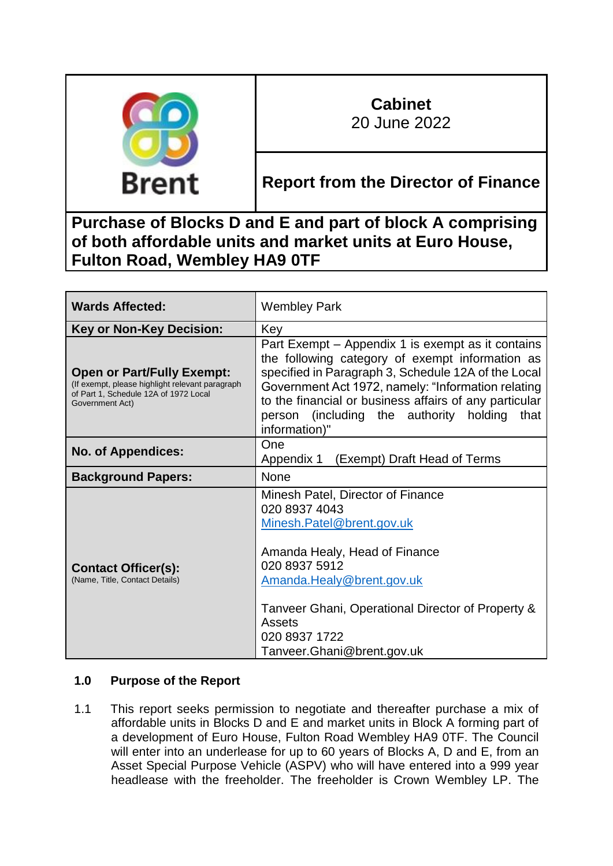

# **Cabinet**

20 June 2022

**Report from the Director of Finance**

## **Purchase of Blocks D and E and part of block A comprising of both affordable units and market units at Euro House, Fulton Road, Wembley HA9 0TF**

| <b>Wards Affected:</b>                                                                                                                           | <b>Wembley Park</b>                                                                                                                                                                                                                                                                                                                                |  |  |  |
|--------------------------------------------------------------------------------------------------------------------------------------------------|----------------------------------------------------------------------------------------------------------------------------------------------------------------------------------------------------------------------------------------------------------------------------------------------------------------------------------------------------|--|--|--|
| <b>Key or Non-Key Decision:</b>                                                                                                                  | Key                                                                                                                                                                                                                                                                                                                                                |  |  |  |
| <b>Open or Part/Fully Exempt:</b><br>(If exempt, please highlight relevant paragraph<br>of Part 1, Schedule 12A of 1972 Local<br>Government Act) | Part Exempt – Appendix 1 is exempt as it contains<br>the following category of exempt information as<br>specified in Paragraph 3, Schedule 12A of the Local<br>Government Act 1972, namely: "Information relating<br>to the financial or business affairs of any particular<br>person (including the authority<br>holding<br>that<br>information)" |  |  |  |
| <b>No. of Appendices:</b>                                                                                                                        | One<br>(Exempt) Draft Head of Terms<br>Appendix 1                                                                                                                                                                                                                                                                                                  |  |  |  |
| <b>Background Papers:</b>                                                                                                                        | <b>None</b>                                                                                                                                                                                                                                                                                                                                        |  |  |  |
| <b>Contact Officer(s):</b><br>(Name, Title, Contact Details)                                                                                     | Minesh Patel, Director of Finance<br>020 8937 4043<br>Minesh.Patel@brent.gov.uk<br>Amanda Healy, Head of Finance<br>020 8937 5912<br>Amanda.Healy@brent.gov.uk<br>Tanveer Ghani, Operational Director of Property &<br>Assets<br>020 8937 1722<br>Tanveer.Ghani@brent.gov.uk                                                                       |  |  |  |

## **1.0 Purpose of the Report**

1.1 This report seeks permission to negotiate and thereafter purchase a mix of affordable units in Blocks D and E and market units in Block A forming part of a development of Euro House, Fulton Road Wembley HA9 0TF. The Council will enter into an underlease for up to 60 years of Blocks A, D and E, from an Asset Special Purpose Vehicle (ASPV) who will have entered into a 999 year headlease with the freeholder. The freeholder is Crown Wembley LP. The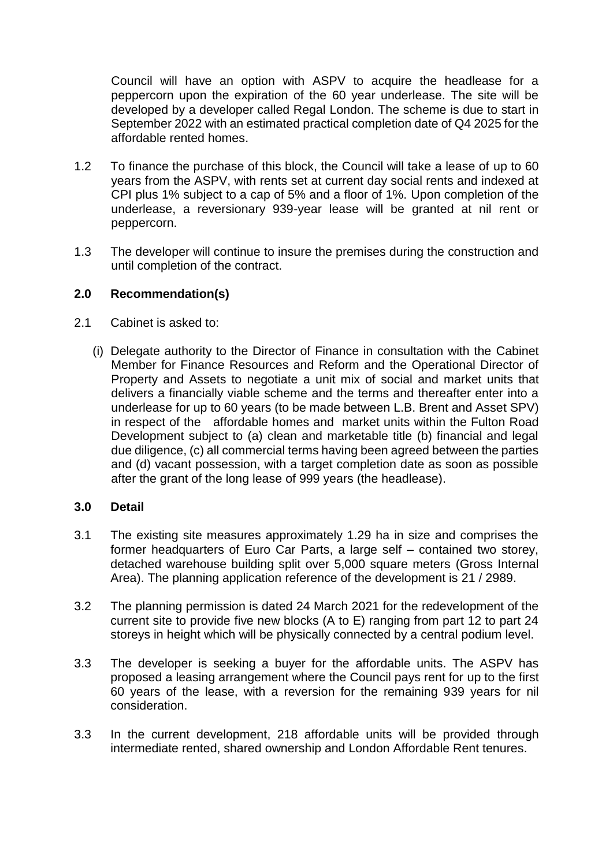Council will have an option with ASPV to acquire the headlease for a peppercorn upon the expiration of the 60 year underlease. The site will be developed by a developer called Regal London. The scheme is due to start in September 2022 with an estimated practical completion date of Q4 2025 for the affordable rented homes.

- 1.2 To finance the purchase of this block, the Council will take a lease of up to 60 years from the ASPV, with rents set at current day social rents and indexed at CPI plus 1% subject to a cap of 5% and a floor of 1%. Upon completion of the underlease, a reversionary 939-year lease will be granted at nil rent or peppercorn.
- 1.3 The developer will continue to insure the premises during the construction and until completion of the contract.

#### **2.0 Recommendation(s)**

- 2.1 Cabinet is asked to:
	- (i) Delegate authority to the Director of Finance in consultation with the Cabinet Member for Finance Resources and Reform and the Operational Director of Property and Assets to negotiate a unit mix of social and market units that delivers a financially viable scheme and the terms and thereafter enter into a underlease for up to 60 years (to be made between L.B. Brent and Asset SPV) in respect of the affordable homes and market units within the Fulton Road Development subject to (a) clean and marketable title (b) financial and legal due diligence, (c) all commercial terms having been agreed between the parties and (d) vacant possession, with a target completion date as soon as possible after the grant of the long lease of 999 years (the headlease).

#### **3.0 Detail**

- 3.1 The existing site measures approximately 1.29 ha in size and comprises the former headquarters of Euro Car Parts, a large self – contained two storey, detached warehouse building split over 5,000 square meters (Gross Internal Area). The planning application reference of the development is 21 / 2989.
- 3.2 The planning permission is dated 24 March 2021 for the redevelopment of the current site to provide five new blocks (A to E) ranging from part 12 to part 24 storeys in height which will be physically connected by a central podium level.
- 3.3 The developer is seeking a buyer for the affordable units. The ASPV has proposed a leasing arrangement where the Council pays rent for up to the first 60 years of the lease, with a reversion for the remaining 939 years for nil consideration.
- 3.3 In the current development, 218 affordable units will be provided through intermediate rented, shared ownership and London Affordable Rent tenures.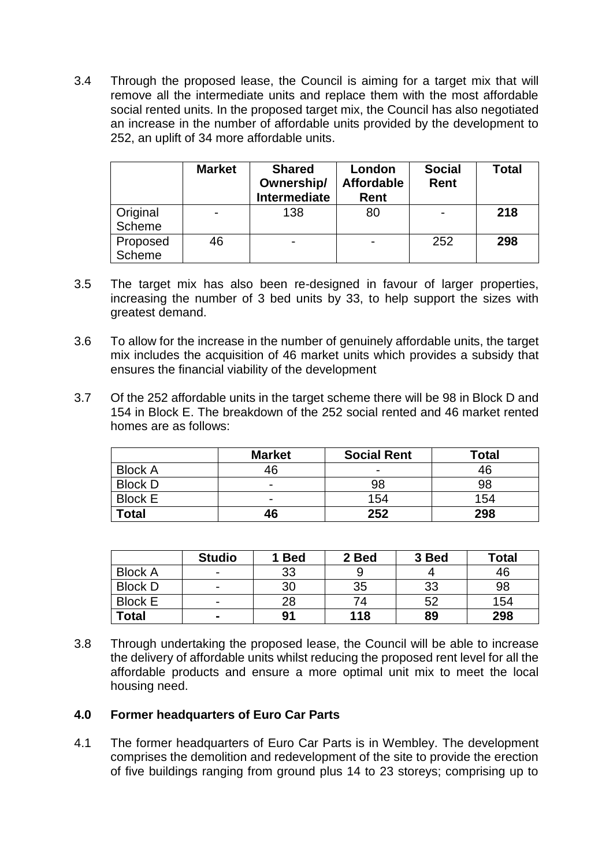3.4 Through the proposed lease, the Council is aiming for a target mix that will remove all the intermediate units and replace them with the most affordable social rented units. In the proposed target mix, the Council has also negotiated an increase in the number of affordable units provided by the development to 252, an uplift of 34 more affordable units.

|                           | <b>Market</b>  | <b>Shared</b><br>Ownership/<br><b>Intermediate</b> | London<br><b>Affordable</b><br>Rent | <b>Social</b><br>Rent | Total |
|---------------------------|----------------|----------------------------------------------------|-------------------------------------|-----------------------|-------|
| Original<br>Scheme        | $\blacksquare$ | 138                                                | 80                                  |                       | 218   |
| Proposed<br><b>Scheme</b> | 46             |                                                    |                                     | 252                   | 298   |

- 3.5 The target mix has also been re-designed in favour of larger properties, increasing the number of 3 bed units by 33, to help support the sizes with greatest demand.
- 3.6 To allow for the increase in the number of genuinely affordable units, the target mix includes the acquisition of 46 market units which provides a subsidy that ensures the financial viability of the development
- 3.7 Of the 252 affordable units in the target scheme there will be 98 in Block D and 154 in Block E. The breakdown of the 252 social rented and 46 market rented homes are as follows:

|                | <b>Market</b>            | <b>Social Rent</b>       | <b>Total</b> |
|----------------|--------------------------|--------------------------|--------------|
| <b>Block A</b> | 46                       | $\overline{\phantom{0}}$ | 46           |
| <b>Block D</b> | $\overline{\phantom{0}}$ | 98                       | 98           |
| <b>Block E</b> | $\overline{\phantom{0}}$ | 154                      | 154          |
| Total          | 46                       | 252                      | 298          |

|                | <b>Studio</b>            | 1 Bed | 2 Bed | 3 Bed | <b>Total</b> |
|----------------|--------------------------|-------|-------|-------|--------------|
| <b>Block A</b> | $\overline{\phantom{0}}$ | 33    |       |       | 46           |
| <b>Block D</b> | $\overline{\phantom{0}}$ | 30    | 35    | 33    | 98           |
| <b>Block E</b> | $\overline{\phantom{0}}$ | 28    | 74    | 52    | 154          |
| <b>Total</b>   |                          | 91    | 118   | 89    | 298          |

3.8 Through undertaking the proposed lease, the Council will be able to increase the delivery of affordable units whilst reducing the proposed rent level for all the affordable products and ensure a more optimal unit mix to meet the local housing need.

### **4.0 Former headquarters of Euro Car Parts**

4.1 The former headquarters of Euro Car Parts is in Wembley. The development comprises the demolition and redevelopment of the site to provide the erection of five buildings ranging from ground plus 14 to 23 storeys; comprising up to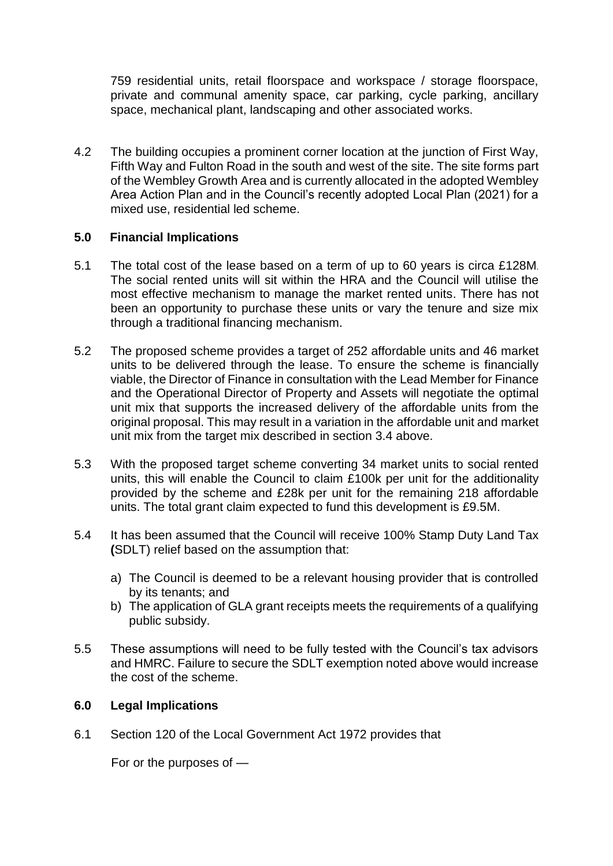759 residential units, retail floorspace and workspace / storage floorspace, private and communal amenity space, car parking, cycle parking, ancillary space, mechanical plant, landscaping and other associated works.

4.2 The building occupies a prominent corner location at the junction of First Way, Fifth Way and Fulton Road in the south and west of the site. The site forms part of the Wembley Growth Area and is currently allocated in the adopted Wembley Area Action Plan and in the Council's recently adopted Local Plan (2021) for a mixed use, residential led scheme.

### **5.0 Financial Implications**

- 5.1 The total cost of the lease based on a term of up to 60 years is circa £128M. The social rented units will sit within the HRA and the Council will utilise the most effective mechanism to manage the market rented units. There has not been an opportunity to purchase these units or vary the tenure and size mix through a traditional financing mechanism.
- 5.2 The proposed scheme provides a target of 252 affordable units and 46 market units to be delivered through the lease. To ensure the scheme is financially viable, the Director of Finance in consultation with the Lead Member for Finance and the Operational Director of Property and Assets will negotiate the optimal unit mix that supports the increased delivery of the affordable units from the original proposal. This may result in a variation in the affordable unit and market unit mix from the target mix described in section 3.4 above.
- 5.3 With the proposed target scheme converting 34 market units to social rented units, this will enable the Council to claim £100k per unit for the additionality provided by the scheme and £28k per unit for the remaining 218 affordable units. The total grant claim expected to fund this development is £9.5M.
- 5.4 It has been assumed that the Council will receive 100% Stamp Duty Land Tax **(**SDLT) relief based on the assumption that:
	- a) The Council is deemed to be a relevant housing provider that is controlled by its tenants; and
	- b) The application of GLA grant receipts meets the requirements of a qualifying public subsidy.
- 5.5 These assumptions will need to be fully tested with the Council's tax advisors and HMRC. Failure to secure the SDLT exemption noted above would increase the cost of the scheme.

## **6.0 Legal Implications**

6.1 Section 120 of the Local Government Act 1972 provides that

For or the purposes of —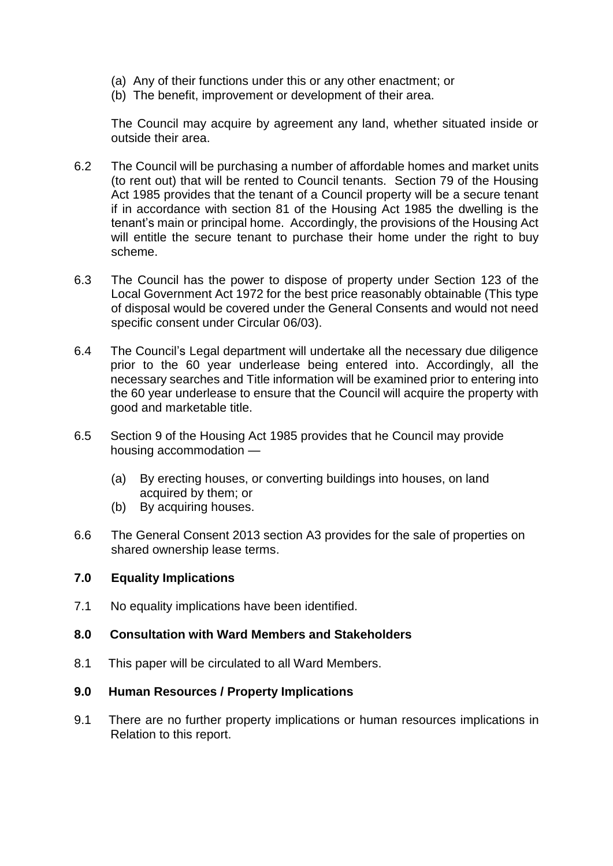- (a) Any of their functions under this or any other enactment; or
- (b) The benefit, improvement or development of their area.

The Council may acquire by agreement any land, whether situated inside or outside their area.

- 6.2 The Council will be purchasing a number of affordable homes and market units (to rent out) that will be rented to Council tenants. Section 79 of the Housing Act 1985 provides that the tenant of a Council property will be a secure tenant if in accordance with section 81 of the Housing Act 1985 the dwelling is the tenant's main or principal home. Accordingly, the provisions of the Housing Act will entitle the secure tenant to purchase their home under the right to buy scheme.
- 6.3 The Council has the power to dispose of property under Section 123 of the Local Government Act 1972 for the best price reasonably obtainable (This type of disposal would be covered under the General Consents and would not need specific consent under Circular 06/03).
- 6.4 The Council's Legal department will undertake all the necessary due diligence prior to the 60 year underlease being entered into. Accordingly, all the necessary searches and Title information will be examined prior to entering into the 60 year underlease to ensure that the Council will acquire the property with good and marketable title.
- 6.5 Section 9 of the Housing Act 1985 provides that he Council may provide housing accommodation —
	- (a) By erecting houses, or converting buildings into houses, on land acquired by them; or
	- (b) By acquiring houses.
- 6.6 The General Consent 2013 section A3 provides for the sale of properties on shared ownership lease terms.

#### **7.0 Equality Implications**

7.1 No equality implications have been identified.

#### **8.0 Consultation with Ward Members and Stakeholders**

8.1 This paper will be circulated to all Ward Members.

#### **9.0 Human Resources / Property Implications**

9.1 There are no further property implications or human resources implications in Relation to this report.